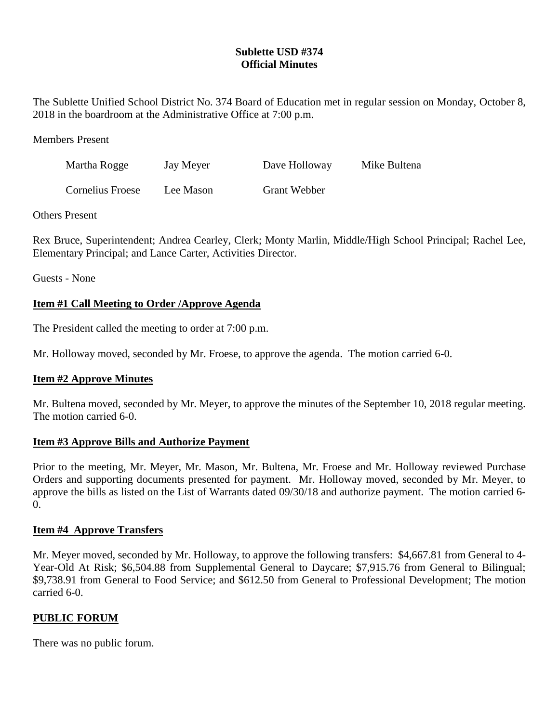# **Sublette USD #374 Official Minutes**

The Sublette Unified School District No. 374 Board of Education met in regular session on Monday, October 8, 2018 in the boardroom at the Administrative Office at 7:00 p.m.

Members Present

| Martha Rogge            | Jay Meyer | Dave Holloway       | Mike Bultena |
|-------------------------|-----------|---------------------|--------------|
| <b>Cornelius Froese</b> | Lee Mason | <b>Grant Webber</b> |              |

Others Present

Rex Bruce, Superintendent; Andrea Cearley, Clerk; Monty Marlin, Middle/High School Principal; Rachel Lee, Elementary Principal; and Lance Carter, Activities Director.

Guests - None

## **Item #1 Call Meeting to Order /Approve Agenda**

The President called the meeting to order at 7:00 p.m.

Mr. Holloway moved, seconded by Mr. Froese, to approve the agenda. The motion carried 6-0.

## **Item #2 Approve Minutes**

Mr. Bultena moved, seconded by Mr. Meyer, to approve the minutes of the September 10, 2018 regular meeting. The motion carried 6-0.

#### **Item #3 Approve Bills and Authorize Payment**

Prior to the meeting, Mr. Meyer, Mr. Mason, Mr. Bultena, Mr. Froese and Mr. Holloway reviewed Purchase Orders and supporting documents presented for payment. Mr. Holloway moved, seconded by Mr. Meyer, to approve the bills as listed on the List of Warrants dated 09/30/18 and authorize payment. The motion carried 6- 0.

## **Item #4 Approve Transfers**

Mr. Meyer moved, seconded by Mr. Holloway, to approve the following transfers: \$4,667.81 from General to 4- Year-Old At Risk; \$6,504.88 from Supplemental General to Daycare; \$7,915.76 from General to Bilingual; \$9,738.91 from General to Food Service; and \$612.50 from General to Professional Development; The motion carried 6-0.

## **PUBLIC FORUM**

There was no public forum.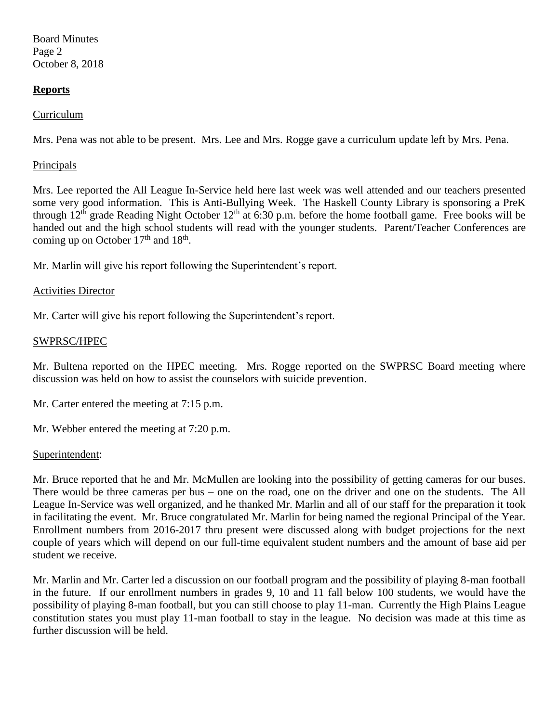Board Minutes Page 2 October 8, 2018

## **Reports**

## Curriculum

Mrs. Pena was not able to be present. Mrs. Lee and Mrs. Rogge gave a curriculum update left by Mrs. Pena.

#### **Principals**

Mrs. Lee reported the All League In-Service held here last week was well attended and our teachers presented some very good information. This is Anti-Bullying Week. The Haskell County Library is sponsoring a PreK through  $12<sup>th</sup>$  grade Reading Night October  $12<sup>th</sup>$  at 6:30 p.m. before the home football game. Free books will be handed out and the high school students will read with the younger students. Parent/Teacher Conferences are coming up on October  $17<sup>th</sup>$  and  $18<sup>th</sup>$ .

Mr. Marlin will give his report following the Superintendent's report.

#### Activities Director

Mr. Carter will give his report following the Superintendent's report.

#### SWPRSC/HPEC

Mr. Bultena reported on the HPEC meeting. Mrs. Rogge reported on the SWPRSC Board meeting where discussion was held on how to assist the counselors with suicide prevention.

Mr. Carter entered the meeting at 7:15 p.m.

Mr. Webber entered the meeting at 7:20 p.m.

#### Superintendent:

Mr. Bruce reported that he and Mr. McMullen are looking into the possibility of getting cameras for our buses. There would be three cameras per bus – one on the road, one on the driver and one on the students. The All League In-Service was well organized, and he thanked Mr. Marlin and all of our staff for the preparation it took in facilitating the event. Mr. Bruce congratulated Mr. Marlin for being named the regional Principal of the Year. Enrollment numbers from 2016-2017 thru present were discussed along with budget projections for the next couple of years which will depend on our full-time equivalent student numbers and the amount of base aid per student we receive.

Mr. Marlin and Mr. Carter led a discussion on our football program and the possibility of playing 8-man football in the future. If our enrollment numbers in grades 9, 10 and 11 fall below 100 students, we would have the possibility of playing 8-man football, but you can still choose to play 11-man. Currently the High Plains League constitution states you must play 11-man football to stay in the league. No decision was made at this time as further discussion will be held.